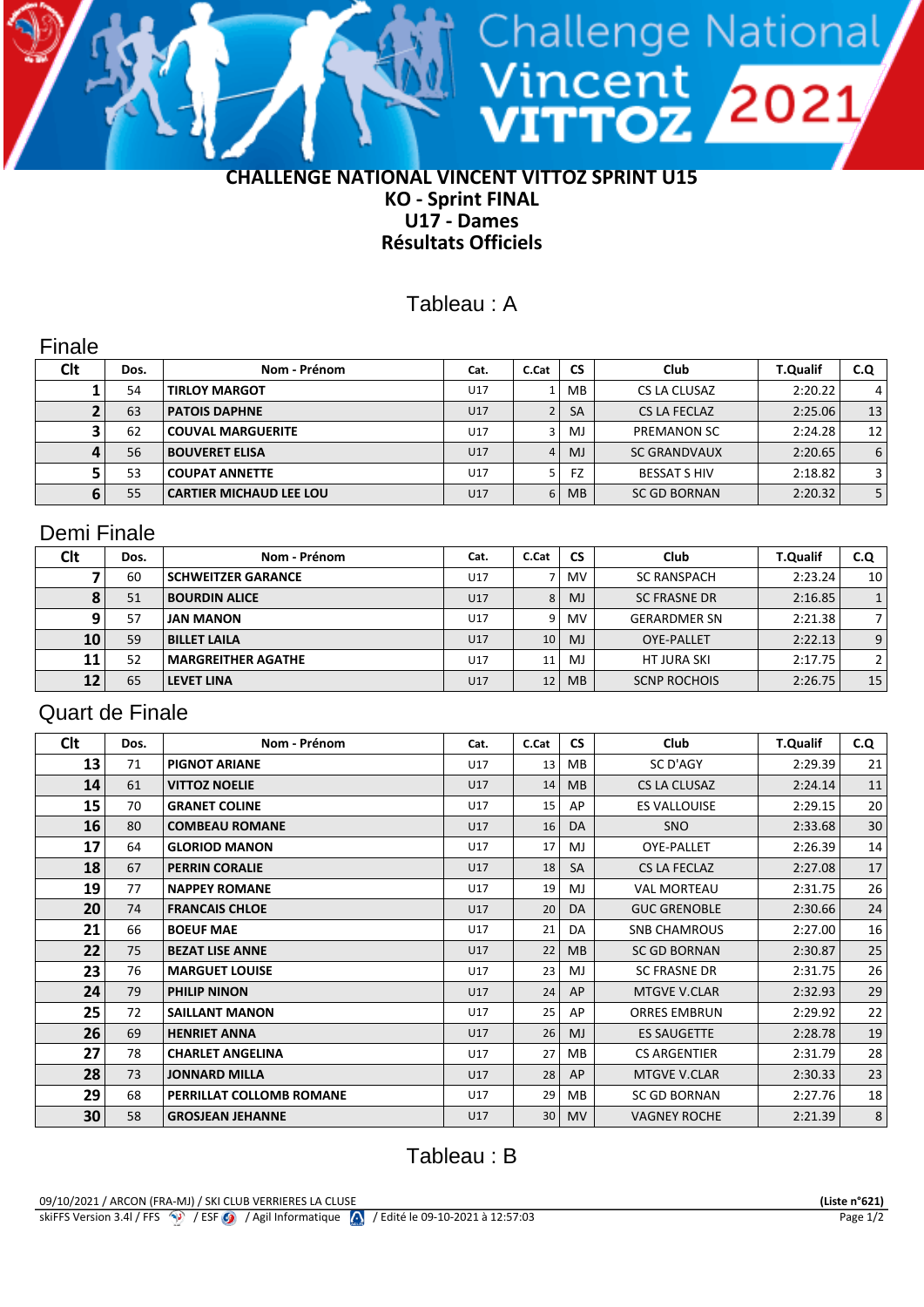### **CHALLENGE NATIONAL VINCENT VITTOZ SPRINT U15 KO - Sprint FINAL U17 - Dames Résultats Officiels**

**TOZ 2021** 

# Tableau : A

## Finale

| Clt | Dos. | Nom - Prénom                   | Cat. | C.Cat | <b>CS</b>      | Club                | <b>T.Qualif</b> | C.Q            |
|-----|------|--------------------------------|------|-------|----------------|---------------------|-----------------|----------------|
|     | 54   | <b>TIRLOY MARGOT</b>           | U17  |       | MB             | CS LA CLUSAZ        | 2:20.22         | 4'             |
|     | 63   | <b>PATOIS DAPHNE</b>           | U17  |       | <b>SA</b>      | CS LA FECLAZ        | 2:25.06         | 13             |
|     | 62   | <b>COUVAL MARGUERITE</b>       | U17  |       | MJ             | <b>PREMANON SC</b>  | 2:24.28         | 12             |
|     | 56   | <b>BOUVERET ELISA</b>          | U17  | 4     | M <sub>J</sub> | <b>SC GRANDVAUX</b> | 2:20.65         | 6              |
|     | 53   | <b>COUPAT ANNETTE</b>          | U17  |       | FZ             | <b>BESSAT S HIV</b> | 2:18.82         | 3 I            |
|     | 55   | <b>CARTIER MICHAUD LEE LOU</b> | U17  | 6     | <b>MB</b>      | <b>SC GD BORNAN</b> | 2:20.32         | 5 <sup>1</sup> |

## Demi Finale

| Clt | Dos. | Nom - Prénom              | Cat. | C.Cat           | <b>CS</b>      | Club                | <b>T.Qualif</b> | C.Q |
|-----|------|---------------------------|------|-----------------|----------------|---------------------|-----------------|-----|
|     | 60   | <b>SCHWEITZER GARANCE</b> | U17  |                 | MV.            | <b>SC RANSPACH</b>  | 2:23.24         | 10  |
|     | 51   | <b>BOURDIN ALICE</b>      | U17  | 8               | M <sub>J</sub> | <b>SC FRASNE DR</b> | 2:16.85         |     |
|     | 57   | <b>JAN MANON</b>          | U17  | 9               | MV.            | <b>GERARDMER SN</b> | 2:21.38         |     |
| 10  | 59   | <b>BILLET LAILA</b>       | U17  | 10 <sup>1</sup> | M <sub>J</sub> | <b>OYE-PALLET</b>   | 2:22.13         | 9   |
| 11  | 52   | <b>MARGREITHER AGATHE</b> | U17  | 11              | M.             | <b>HT JURA SKI</b>  | 2:17.75         |     |
| 12  | 65   | <b>LEVET LINA</b>         | U17  | 12              | <b>MB</b>      | <b>SCNP ROCHOIS</b> | 2:26.75         | 15  |

## Quart de Finale

| Clt | Dos. | Nom - Prénom             | Cat. | C.Cat           | <b>CS</b> | Club                | <b>T.Qualif</b> | C.Q             |
|-----|------|--------------------------|------|-----------------|-----------|---------------------|-----------------|-----------------|
| 13  | 71   | <b>PIGNOT ARIANE</b>     | U17  | 13 <sup>1</sup> | MB        | SC D'AGY            | 2:29.39         | 21              |
| 14  | 61   | <b>VITTOZ NOELIE</b>     | U17  | 14              | <b>MB</b> | <b>CS LA CLUSAZ</b> | 2:24.14         | 11              |
| 15  | 70   | <b>GRANET COLINE</b>     | U17  | 15 <sup>1</sup> | AP        | <b>ES VALLOUISE</b> | 2:29.15         | 20              |
| 16  | 80   | <b>COMBEAU ROMANE</b>    | U17  | 16              | DA        | <b>SNO</b>          | 2:33.68         | 30 <sup>°</sup> |
| 17  | 64   | <b>GLORIOD MANON</b>     | U17  | 17              | MJ        | OYE-PALLET          | 2:26.39         | 14              |
| 18  | 67   | <b>PERRIN CORALIE</b>    | U17  | 18              | <b>SA</b> | <b>CS LA FECLAZ</b> | 2:27.08         | 17              |
| 19  | 77   | <b>NAPPEY ROMANE</b>     | U17  | 19              | MJ        | <b>VAL MORTEAU</b>  | 2:31.75         | 26              |
| 20  | 74   | <b>FRANCAIS CHLOE</b>    | U17  | 20              | DA        | <b>GUC GRENOBLE</b> | 2:30.66         | 24              |
| 21  | 66   | <b>BOEUF MAE</b>         | U17  | 21              | DA        | <b>SNB CHAMROUS</b> | 2:27.00         | 16              |
| 22  | 75   | <b>BEZAT LISE ANNE</b>   | U17  | 22              | <b>MB</b> | <b>SC GD BORNAN</b> | 2:30.87         | 25              |
| 23  | 76   | <b>MARGUET LOUISE</b>    | U17  | 23              | MJ        | <b>SC FRASNE DR</b> | 2:31.75         | 26              |
| 24  | 79   | <b>PHILIP NINON</b>      | U17  | 24              | AP        | <b>MTGVE V.CLAR</b> | 2:32.93         | 29              |
| 25  | 72   | <b>SAILLANT MANON</b>    | U17  | 25              | AP        | <b>ORRES EMBRUN</b> | 2:29.92         | 22              |
| 26  | 69   | <b>HENRIET ANNA</b>      | U17  | 26              | MJ.       | <b>ES SAUGETTE</b>  | 2:28.78         | 19              |
| 27  | 78   | <b>CHARLET ANGELINA</b>  | U17  | 27              | MB.       | <b>CS ARGENTIER</b> | 2:31.79         | 28              |
| 28  | 73   | <b>JONNARD MILLA</b>     | U17  | 28              | AP        | <b>MTGVE V.CLAR</b> | 2:30.33         | 23              |
| 29  | 68   | PERRILLAT COLLOMB ROMANE | U17  | 29              | MB.       | SC GD BORNAN        | 2:27.76         | 18              |
| 30  | 58   | <b>GROSJEAN JEHANNE</b>  | U17  | 30 <sup>1</sup> | MV.       | <b>VAGNEY ROCHE</b> | 2:21.39         | $\,8\,$         |

# Tableau : B